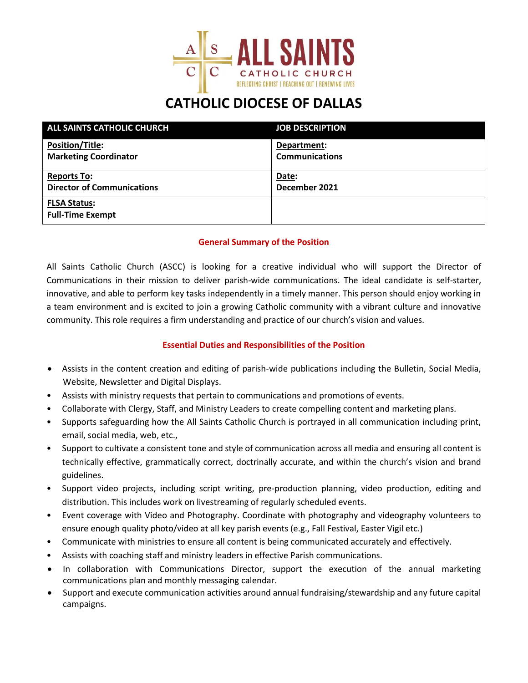

## **CATHOLIC DIOCESE OF DALLAS**

| ALL SAINTS CATHOLIC CHURCH                     | <b>JOB DESCRIPTION</b> |
|------------------------------------------------|------------------------|
| <b>Position/Title:</b>                         | Department:            |
| <b>Marketing Coordinator</b>                   | <b>Communications</b>  |
| <b>Reports To:</b>                             | Date:                  |
| <b>Director of Communications</b>              | December 2021          |
| <b>FLSA Status:</b><br><b>Full-Time Exempt</b> |                        |

### **General Summary of the Position**

All Saints Catholic Church (ASCC) is looking for a creative individual who will support the Director of Communications in their mission to deliver parish-wide communications. The ideal candidate is self-starter, innovative, and able to perform key tasks independently in a timely manner. This person should enjoy working in a team environment and is excited to join a growing Catholic community with a vibrant culture and innovative community. This role requires a firm understanding and practice of our church's vision and values.

### **Essential Duties and Responsibilities of the Position**

- Assists in the content creation and editing of parish-wide publications including the Bulletin, Social Media, Website, Newsletter and Digital Displays.
- Assists with ministry requests that pertain to communications and promotions of events.
- Collaborate with Clergy, Staff, and Ministry Leaders to create compelling content and marketing plans.
- Supports safeguarding how the All Saints Catholic Church is portrayed in all communication including print, email, social media, web, etc.,
- Support to cultivate a consistent tone and style of communication across all media and ensuring all content is technically effective, grammatically correct, doctrinally accurate, and within the church's vision and brand guidelines.
- Support video projects, including script writing, pre-production planning, video production, editing and distribution. This includes work on livestreaming of regularly scheduled events.
- Event coverage with Video and Photography. Coordinate with photography and videography volunteers to ensure enough quality photo/video at all key parish events (e.g., Fall Festival, Easter Vigil etc.)
- Communicate with ministries to ensure all content is being communicated accurately and effectively.
- Assists with coaching staff and ministry leaders in effective Parish communications.
- In collaboration with Communications Director, support the execution of the annual marketing communications plan and monthly messaging calendar.
- Support and execute communication activities around annual fundraising/stewardship and any future capital campaigns.